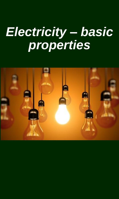### *Electricity – basic properties*

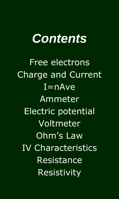### *Contents*

Free electrons Charge and Current  $I = nAve$ Ammeter Electric potential Voltmeter Ohm's Law IV Characteristics Resistance Resistivity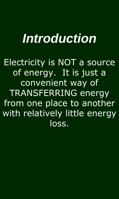### *Introduction*

Electricity is NOT a source of energy. It is just a convenient way of TRANSFERRING energy from one place to another with relatively little energy loss.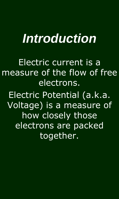### *Introduction*

Electric current is a measure of the flow of free electrons.

Electric Potential (a.k.a. Voltage) is a measure of how closely those electrons are packed together.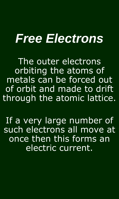### *Free Electrons*

The outer electrons orbiting the atoms of metals can be forced out of orbit and made to drift through the atomic lattice.

If a very large number of such electrons all move at once then this forms an electric current.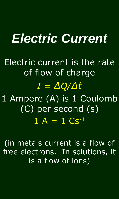Electric current is the rate of flow of charge *I = ∆Q/∆t*

1 Ampere (A) is 1 Coulomb (C) per second (s)  $1 A = 1 Cs^{-1}$ 

(in metals current is a flow of free electrons. In solutions, it is a flow of ions)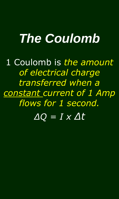## *The Coulomb*

1 Coulomb is *the amount of electrical charge transferred when a constant current of 1 Amp flows for 1 second.*

*∆Q = I x ∆t*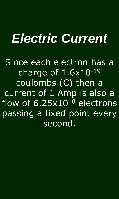Since each electron has a charge of  $1.6x10^{-19}$ coulombs (C) then a current of 1 Amp is also a flow of 6.25x10<sup>18</sup> electrons passing a fixed point every second.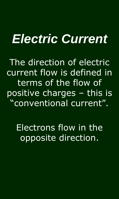The direction of electric current flow is defined in terms of the flow of positive charges – this is "conventional current".

Electrons flow in the opposite direction.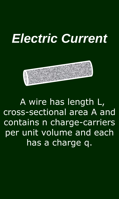

A wire has length L, cross-sectional area A and contains n charge-carriers per unit volume and each has a charge q.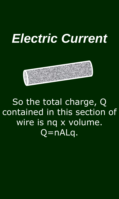

### So the total charge, Q contained in this section of wire is nq x volume. Q=nALq.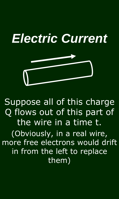

Suppose all of this charge Q flows out of this part of the wire in a time t. (Obviously, in a real wire, more free electrons would drift in from the left to replace

them)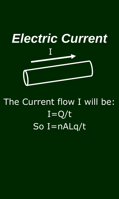

### The Current flow I will be:  $I=Q/t$ So I=nALq/t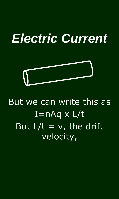

### But we can write this as  $I=nAq \times L/t$ But  $L/t = v$ , the drift velocity,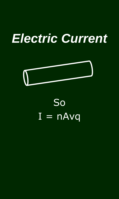

### So  $I = nA vq$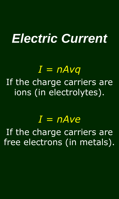### *I = nAvq*

If the charge carriers are ions (in electrolytes).

### *I = nAve*

If the charge carriers are free electrons (in metals).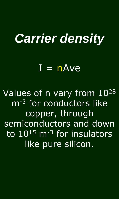### *Carrier density*

### $\overline{I}$  =  $nAve$

Values of n vary from 10<sup>28</sup> m<sup>-3</sup> for conductors like copper, through semiconductors and down to  $10^{15}$  m<sup>-3</sup> for insulators like pure silicon.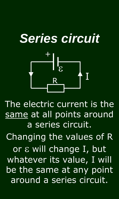## *Series circuit*



The electric current is the same at all points around a series circuit.

Changing the values of R

or  $\epsilon$  will change I, but whatever its value, I will be the same at any point around a series circuit.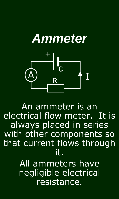### *Ammeter* I  $\frac{1}{3}$ + A R

An ammeter is an electrical flow meter. It is always placed in series with other components so that current flows through it.

> All ammeters have negligible electrical resistance.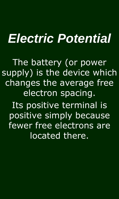The battery (or power supply) is the device which changes the average free electron spacing. Its positive terminal is positive simply because fewer free electrons are located there.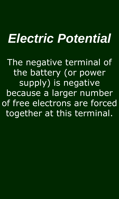The negative terminal of the battery (or power supply) is negative because a larger number of free electrons are forced together at this terminal.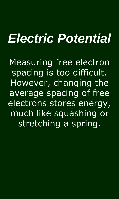Measuring free electron spacing is too difficult. However, changing the average spacing of free electrons stores energy, much like squashing or stretching a spring.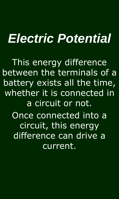This energy difference between the terminals of a battery exists all the time, whether it is connected in a circuit or not. Once connected into a circuit, this energy difference can drive a current.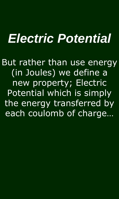But rather than use energy (in Joules) we define a new property; Electric Potential which is simply the energy transferred by each coulomb of charge…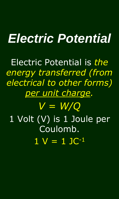Electric Potential is *the energy transferred (from electrical to other forms) per unit charge.*

*V = W/Q* 1 Volt (V) is 1 Joule per Coulomb.  $1 V = 1 J C^{-1}$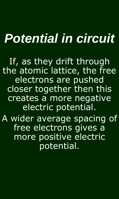## *Potential in circuit*

If, as they drift through the atomic lattice, the free electrons are pushed closer together then this creates a more negative electric potential.

A wider average spacing of free electrons gives a more positive electric potential.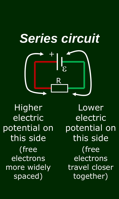

Higher electric potential on this side (free electrons more widely spaced)

**Lower** electric potential on this side (free electrons travel closer together)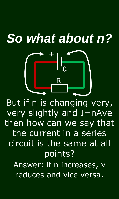## *So what about n?*



But if n is changing very, very slightly and I=nAve then how can we say that the current in a series circuit is the same at all points?

Answer: if n increases, v reduces and vice versa.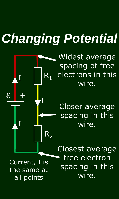## *Changing Potential*

 $\mathcal{E}$  $+$  $R_1$  $R_2$ I I I Current, I is the same at

all points

Widest average spacing of free electrons in this wire.

Closer average spacing in this wire.

Closest average free electron spacing in this wire.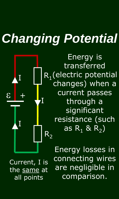## *Changing Potential*



Energy is transferred  $R_1$ (electric potential changes) when a current passes through a significant resistance (such as  $R_1$  &  $R_2$ )

Current, I is the same at all points

Energy losses in connecting wires are negligible in comparison.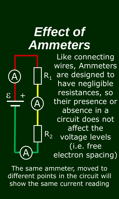## **Effect of** *Ammeters*



Like connecting wires, Ammeters are designed to have negligible resistances, so their presence or absence in a circuit does not affect the voltage levels (i.e. free electron spacing)

The same ammeter, moved to different points in the circuit will show the same current reading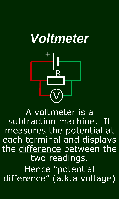

A voltmeter is a subtraction machine. It measures the potential at each terminal and displays the difference between the two readings. Hence "potential difference" (a.k.a voltage)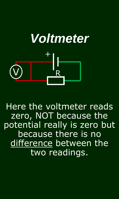## *Voltmeter* + V) <mark>R</mark>

Here the voltmeter reads zero, NOT because the potential really is zero but because there is no difference between the two readings.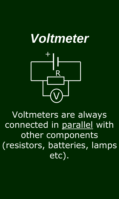

Voltmeters are always connected in parallel with other components (resistors, batteries, lamps etc).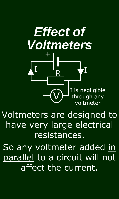

Voltmeters are designed to have very large electrical resistances.

So any voltmeter added in parallel to a circuit will not affect the current.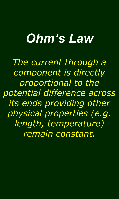## *Ohm's Law*

*The current through a component is directly proportional to the potential difference across its ends providing other physical properties (e.g. length, temperature) remain constant.*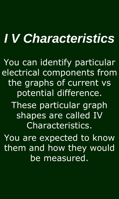## *I V Characteristics*

You can identify particular electrical components from the graphs of current vs potential difference. These particular graph shapes are called IV Characteristics. You are expected to know them and how they would be measured.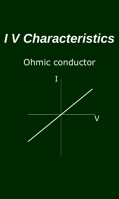## *I V Characteristics*

### Ohmic conductor

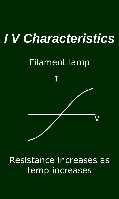## *I V Characteristics*

### Filament lamp



### Resistance increases as temp increases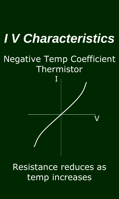# *I V Characteristics* Negative Temp Coefficient Thermistor V I

#### Resistance reduces as temp increases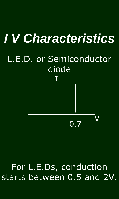

### For L.E.Ds, conduction starts between 0.5 and 2V.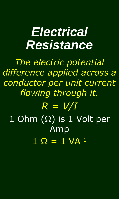### *Electrical Resistance*

*The electric potential difference applied across a conductor per unit current flowing through it.*

### *R = V/I* 1 Ohm (Ω) is 1 Volt per Amp  $1 \Omega = 1 \text{ VA}^{-1}$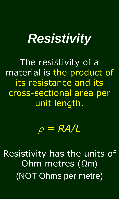### *Resistivity*

The resistivity of a material is the product of its resistance and its cross-sectional area per unit length.

### $\rho = RA/L$

Resistivity has the units of Ohm metres (Ωm) (NOT Ohms per metre)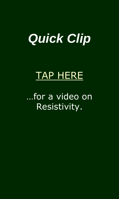### *Quick Clip*

### [TAP HERE](http://www.youtube.com/watch?v=UyEpoWsBqbc&list=PL88B748FA3DA87FD0&index=24)

### …for a video on Resistivity.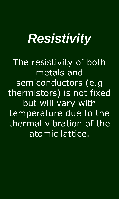### *Resistivity*

The resistivity of both metals and semiconductors (e.g thermistors) is not fixed but will vary with temperature due to the thermal vibration of the atomic lattice.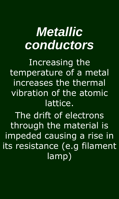### *Metallic conductors*

Increasing the temperature of a metal increases the thermal vibration of the atomic lattice.

The drift of electrons through the material is impeded causing a rise in its resistance (e.g filament lamp)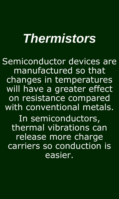### *Thermistors*

Semiconductor devices are manufactured so that changes in temperatures will have a greater effect on resistance compared with conventional metals. In semiconductors, thermal vibrations can release more charge carriers so conduction is easier.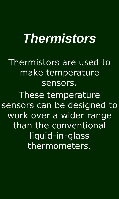### *Thermistors*

Thermistors are used to make temperature sensors.

These temperature sensors can be designed to work over a wider range than the conventional liquid-in-glass thermometers.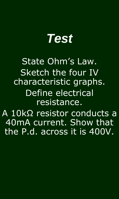

State Ohm's Law. Sketch the four IV characteristic graphs. Define electrical resistance. A 10kΩ resistor conducts a 40mA current. Show that

the P.d. across it is 400V.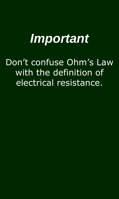### *Important*

### Don't confuse Ohm's Law with the definition of electrical resistance.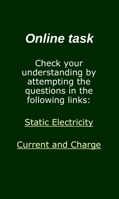### *Online task*

Check your understanding by attempting the questions in the following links:

### [Static Electricity](http://www.antonine-education.co.uk/Pages/Physics_GCSE/Unit_2/Add_08_Static_Electricity/Add_page_08.htm)

### [Current and Charge](http://www.antonine-education.co.uk/Pages/Physics_GCSE/Unit_2/Add_11_Current_and_Charge/add_page_11.htm)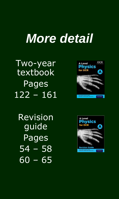### *More detail*

Two-year textbook Pages 122 – 161

Revision guide Pages 54 – 58  $60 - 65$